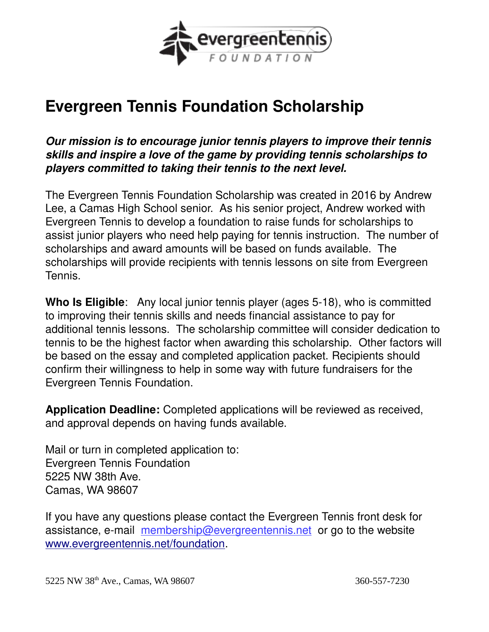

# **Evergreen Tennis Foundation Scholarship**

*Our mission is to encourage junior tennis players to improve their tennis skills and inspire a love of the game by providing tennis scholarships to players committed to taking their tennis to the next level.*

The Evergreen Tennis Foundation Scholarship was created in 2016 by Andrew Lee, a Camas High School senior. As his senior project, Andrew worked with Evergreen Tennis to develop a foundation to raise funds for scholarships to assist junior players who need help paying for tennis instruction. The number of scholarships and award amounts will be based on funds available. The scholarships will provide recipients with tennis lessons on site from Evergreen Tennis.

**Who Is Eligible**: Any local junior tennis player (ages 5-18), who is committed to improving their tennis skills and needs financial assistance to pay for additional tennis lessons. The scholarship committee will consider dedication to tennis to be the highest factor when awarding this scholarship. Other factors will be based on the essay and completed application packet. Recipients should confirm their willingness to help in some way with future fundraisers for the Evergreen Tennis Foundation.

**Application Deadline:** Completed applications will be reviewed as received, and approval depends on having funds available.

Mail or turn in completed application to: Evergreen Tennis Foundation 5225 NW 38th Ave. Camas, WA 98607

If you have any questions please contact the Evergreen Tennis front desk for assistance, e-mail membership@evergreentennis.net or go to the website [www.evergreentennis.net/foundation.](http://www.evergreentennis.net/foundation)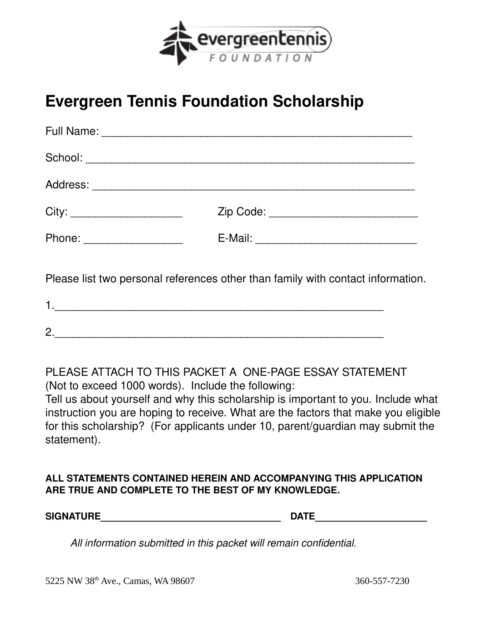

# **Evergreen Tennis Foundation Scholarship**

| Phone: ____________________ |  |
|-----------------------------|--|
|                             |  |

Please list two personal references other than family with contact information.

| C<br><u>.</u> |  |  |  |  |
|---------------|--|--|--|--|

PLEASE ATTACH TO THIS PACKET A ONE-PAGE ESSAY STATEMENT (Not to exceed 1000 words). Include the following: Tell us about yourself and why this scholarship is important to you. Include what instruction you are hoping to receive. What are the factors that make you eligible for this scholarship? (For applicants under 10, parent/guardian may submit the statement).

#### **ALL STATEMENTS CONTAINED HEREIN AND ACCOMPANYING THIS APPLICATION ARE TRUE AND COMPLETE TO THE BEST OF MY KNOWLEDGE.**

**SIGNATURE\_\_\_\_\_\_\_\_\_\_\_\_\_\_\_\_\_\_\_\_\_\_\_\_\_\_\_\_\_ DATE\_\_\_\_\_\_\_\_\_\_\_\_\_\_\_\_\_\_**

 *All information submitted in this packet will remain confidential.*